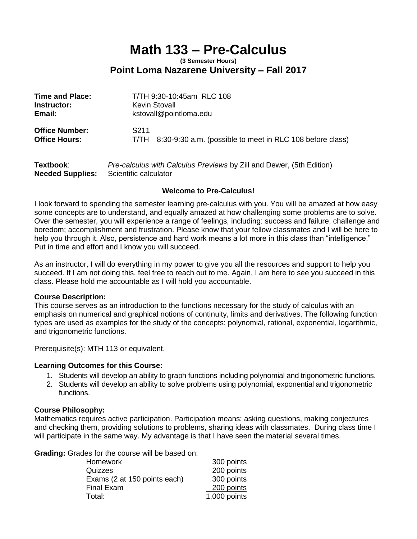# **Math 133 – Pre-Calculus**

#### **(3 Semester Hours) Point Loma Nazarene University – Fall 2017**

| <b>Time and Place:</b> | T/TH 9:30-10:45am RLC 108                                      |
|------------------------|----------------------------------------------------------------|
| Instructor:            | <b>Kevin Stovall</b>                                           |
| Email:                 | kstovall@pointloma.edu                                         |
| <b>Office Number:</b>  | S <sub>2</sub> 11                                              |
| <b>Office Hours:</b>   | T/TH 8:30-9:30 a.m. (possible to meet in RLC 108 before class) |

| Textbook:               | Pre-calculus with Calculus Previews by Zill and Dewer, (5th Edition) |
|-------------------------|----------------------------------------------------------------------|
| <b>Needed Supplies:</b> | Scientific calculator                                                |

#### **Welcome to Pre-Calculus!**

I look forward to spending the semester learning pre-calculus with you. You will be amazed at how easy some concepts are to understand, and equally amazed at how challenging some problems are to solve. Over the semester, you will experience a range of feelings, including: success and failure; challenge and boredom; accomplishment and frustration. Please know that your fellow classmates and I will be here to help you through it. Also, persistence and hard work means a lot more in this class than "intelligence." Put in time and effort and I know you will succeed.

As an instructor, I will do everything in my power to give you all the resources and support to help you succeed. If I am not doing this, feel free to reach out to me. Again, I am here to see you succeed in this class. Please hold me accountable as I will hold you accountable.

#### **Course Description:**

This course serves as an introduction to the functions necessary for the study of calculus with an emphasis on numerical and graphical notions of continuity, limits and derivatives. The following function types are used as examples for the study of the concepts: polynomial, rational, exponential, logarithmic, and trigonometric functions.

Prerequisite(s): MTH 113 or equivalent.

#### **Learning Outcomes for this Course:**

- 1. Students will develop an ability to graph functions including polynomial and trigonometric functions.
- 2. Students will develop an ability to solve problems using polynomial, exponential and trigonometric functions.

#### **Course Philosophy:**

Mathematics requires active participation. Participation means: asking questions, making conjectures and checking them, providing solutions to problems, sharing ideas with classmates. During class time I will participate in the same way. My advantage is that I have seen the material several times.

**Grading:** Grades for the course will be based on:

| <b>Homework</b>              | 300 points   |
|------------------------------|--------------|
| Quizzes                      | 200 points   |
| Exams (2 at 150 points each) | 300 points   |
| <b>Final Exam</b>            | 200 points   |
| Total:                       | 1,000 points |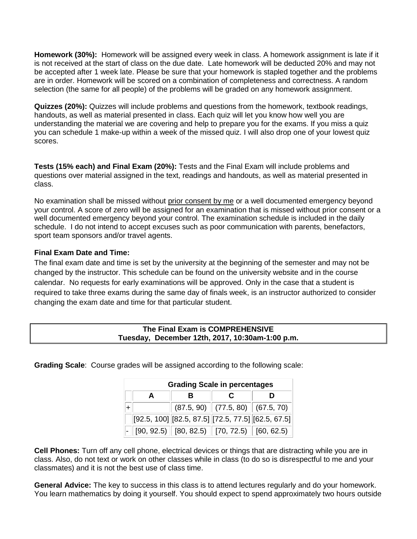**Homework (30%):** Homework will be assigned every week in class. A homework assignment is late if it is not received at the start of class on the due date. Late homework will be deducted 20% and may not be accepted after 1 week late. Please be sure that your homework is stapled together and the problems are in order. Homework will be scored on a combination of completeness and correctness. A random selection (the same for all people) of the problems will be graded on any homework assignment.

**Quizzes (20%):** Quizzes will include problems and questions from the homework, textbook readings, handouts, as well as material presented in class. Each quiz will let you know how well you are understanding the material we are covering and help to prepare you for the exams. If you miss a quiz you can schedule 1 make-up within a week of the missed quiz. I will also drop one of your lowest quiz scores.

**Tests (15% each) and Final Exam (20%):** Tests and the Final Exam will include problems and questions over material assigned in the text, readings and handouts, as well as material presented in class.

No examination shall be missed without prior consent by me or a well documented emergency beyond your control. A score of zero will be assigned for an examination that is missed without prior consent or a well documented emergency beyond your control. The examination schedule is included in the daily schedule. I do not intend to accept excuses such as poor communication with parents, benefactors, sport team sponsors and/or travel agents.

#### **Final Exam Date and Time:**

The final exam date and time is set by the university at the beginning of the semester and may not be changed by the instructor. This schedule can be found on the university website and in the course calendar. No requests for early examinations will be approved. Only in the case that a student is required to take three exams during the same day of finals week, is an instructor authorized to consider changing the exam date and time for that particular student.

| The Final Exam is COMPREHENSIVE                 |  |
|-------------------------------------------------|--|
| Tuesday, December 12th, 2017, 10:30am-1:00 p.m. |  |
|                                                 |  |

**Grading Scale**: Course grades will be assigned according to the following scale:

| <b>Grading Scale in percentages</b> |   |  |                                                                                                                      |
|-------------------------------------|---|--|----------------------------------------------------------------------------------------------------------------------|
|                                     | в |  |                                                                                                                      |
|                                     |   |  | $(87.5, 90)$ $(77.5, 80)$ $(67.5, 70)$                                                                               |
|                                     |   |  | $[92.5, 100]$ $[82.5, 87.5]$ $[72.5, 77.5]$ $[62.5, 67.5]$                                                           |
|                                     |   |  | $\vert\text{-}\vert$ [90, 92.5) $\vert\vert$ [80, 82.5) $\vert\vert$ [70, 72.5) $\vert\vert$ [60, 62.5) $\vert\vert$ |

**Cell Phones:** Turn off any cell phone, electrical devices or things that are distracting while you are in class. Also, do not text or work on other classes while in class (to do so is disrespectful to me and your classmates) and it is not the best use of class time.

**General Advice:** The key to success in this class is to attend lectures regularly and do your homework. You learn mathematics by doing it yourself. You should expect to spend approximately two hours outside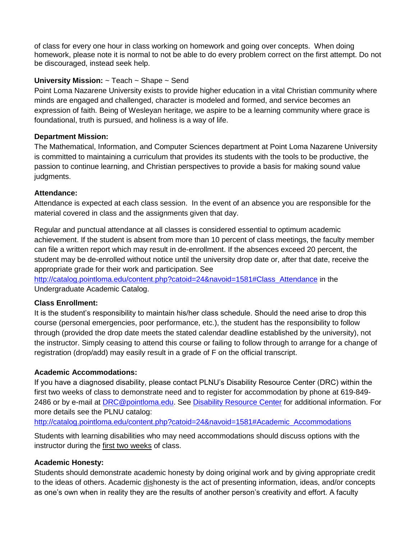of class for every one hour in class working on homework and going over concepts. When doing homework, please note it is normal to not be able to do every problem correct on the first attempt. Do not be discouraged, instead seek help.

### **University Mission:** ~ Teach ~ Shape ~ Send

Point Loma Nazarene University exists to provide higher education in a vital Christian community where minds are engaged and challenged, character is modeled and formed, and service becomes an expression of faith. Being of Wesleyan heritage, we aspire to be a learning community where grace is foundational, truth is pursued, and holiness is a way of life.

#### **Department Mission:**

The Mathematical, Information, and Computer Sciences department at Point Loma Nazarene University is committed to maintaining a curriculum that provides its students with the tools to be productive, the passion to continue learning, and Christian perspectives to provide a basis for making sound value judgments.

#### **Attendance:**

Attendance is expected at each class session. In the event of an absence you are responsible for the material covered in class and the assignments given that day.

Regular and punctual attendance at all classes is considered essential to optimum academic achievement. If the student is absent from more than 10 percent of class meetings, the faculty member can file a written report which may result in de-enrollment. If the absences exceed 20 percent, the student may be de-enrolled without notice until the university drop date or, after that date, receive the appropriate grade for their work and participation. See

[http://catalog.pointloma.edu/content.php?catoid=24&navoid=1581#Class\\_Attendance](http://catalog.pointloma.edu/content.php?catoid=24&navoid=1581#Class_Attendance) in the Undergraduate Academic Catalog.

#### **Class Enrollment:**

It is the student's responsibility to maintain his/her class schedule. Should the need arise to drop this course (personal emergencies, poor performance, etc.), the student has the responsibility to follow through (provided the drop date meets the stated calendar deadline established by the university), not the instructor. Simply ceasing to attend this course or failing to follow through to arrange for a change of registration (drop/add) may easily result in a grade of F on the official transcript.

#### **Academic Accommodations:**

If you have a diagnosed disability, please contact PLNU's Disability Resource Center (DRC) within the first two weeks of class to demonstrate need and to register for accommodation by phone at 619-849- 2486 or by e-mail at [DRC@pointloma.edu.](mailto:DRC@pointloma.edu) See [Disability Resource Center](http://www.pointloma.edu/experience/offices/administrative-offices/academic-advising-office/disability-resource-center) for additional information. For more details see the PLNU catalog:

[http://catalog.pointloma.edu/content.php?catoid=24&navoid=1581#Academic\\_Accommodations](http://catalog.pointloma.edu/content.php?catoid=24&navoid=1581#Academic_Accommodations)

Students with learning disabilities who may need accommodations should discuss options with the instructor during the first two weeks of class.

#### **Academic Honesty:**

Students should demonstrate academic honesty by doing original work and by giving appropriate credit to the ideas of others. Academic dishonesty is the act of presenting information, ideas, and/or concepts as one's own when in reality they are the results of another person's creativity and effort. A faculty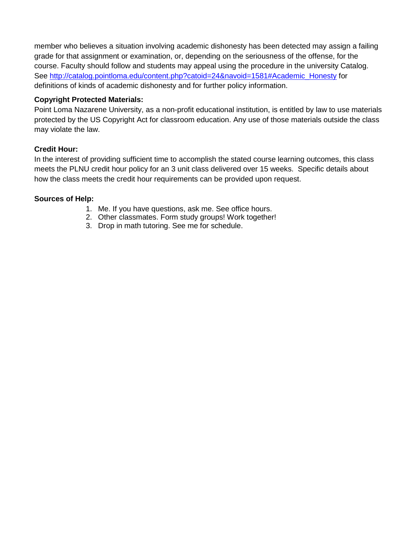member who believes a situation involving academic dishonesty has been detected may assign a failing grade for that assignment or examination, or, depending on the seriousness of the offense, for the course. Faculty should follow and students may appeal using the procedure in the university Catalog. See [http://catalog.pointloma.edu/content.php?catoid=24&navoid=1581#Academic\\_Honesty](http://catalog.pointloma.edu/content.php?catoid=24&navoid=1581#Academic_Honesty) for definitions of kinds of academic dishonesty and for further policy information.

#### **Copyright Protected Materials:**

Point Loma Nazarene University, as a non-profit educational institution, is entitled by law to use materials protected by the US Copyright Act for classroom education. Any use of those materials outside the class may violate the law.

#### **Credit Hour:**

In the interest of providing sufficient time to accomplish the stated course learning outcomes, this class meets the PLNU credit hour policy for an 3 unit class delivered over 15 weeks. Specific details about how the class meets the credit hour requirements can be provided upon request.

#### **Sources of Help:**

- 1. Me. If you have questions, ask me. See office hours.
- 2. Other classmates. Form study groups! Work together!
- 3. Drop in math tutoring. See me for schedule.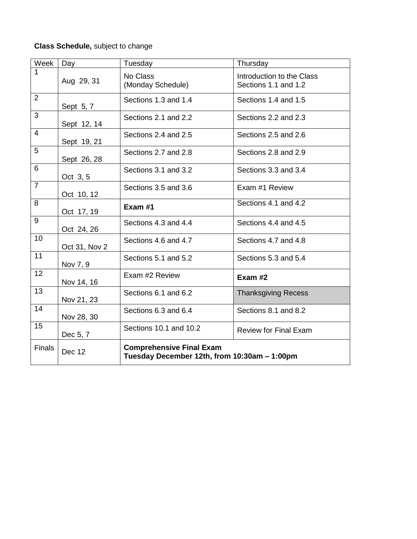## **Class Schedule,** subject to change

| Week           | Day           | Tuesday                                                                         | Thursday                                          |  |
|----------------|---------------|---------------------------------------------------------------------------------|---------------------------------------------------|--|
| 1              | Aug 29, 31    | No Class<br>(Monday Schedule)                                                   | Introduction to the Class<br>Sections 1.1 and 1.2 |  |
| 2              | Sept 5, 7     | Sections 1.3 and 1.4                                                            | Sections 1.4 and 1.5                              |  |
| $\overline{3}$ | Sept 12, 14   | Sections 2.1 and 2.2                                                            | Sections 2.2 and 2.3                              |  |
| $\overline{4}$ | Sept 19, 21   | Sections 2.4 and 2.5                                                            | Sections 2.5 and 2.6                              |  |
| 5              | Sept 26, 28   | Sections 2.7 and 2.8                                                            | Sections 2.8 and 2.9                              |  |
| 6              | Oct 3, 5      | Sections 3.1 and 3.2                                                            | Sections 3.3 and 3.4                              |  |
| $\overline{7}$ | Oct 10, 12    | Sections 3.5 and 3.6                                                            | Exam #1 Review                                    |  |
| 8              | Oct 17, 19    | Exam #1                                                                         | Sections 4.1 and 4.2                              |  |
| 9              | Oct 24, 26    | Sections 4.3 and 4.4                                                            | Sections 4.4 and 4.5                              |  |
| 10             | Oct 31, Nov 2 | Sections 4.6 and 4.7                                                            | Sections 4.7 and 4.8                              |  |
| 11             | Nov 7, 9      | Sections 5.1 and 5.2                                                            | Sections 5.3 and 5.4                              |  |
| 12             | Nov 14, 16    | Exam #2 Review                                                                  | Exam $#2$                                         |  |
| 13             | Nov 21, 23    | Sections 6.1 and 6.2                                                            | <b>Thanksgiving Recess</b>                        |  |
| 14             | Nov 28, 30    | Sections 6.3 and 6.4                                                            | Sections 8.1 and 8.2                              |  |
| 15             | Dec 5, 7      | Sections 10.1 and 10.2                                                          | <b>Review for Final Exam</b>                      |  |
| <b>Finals</b>  | <b>Dec 12</b> | <b>Comprehensive Final Exam</b><br>Tuesday December 12th, from 10:30am - 1:00pm |                                                   |  |